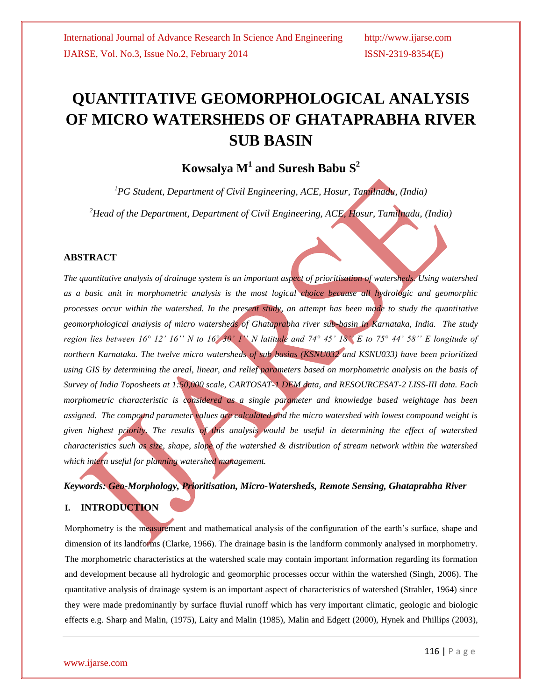# **QUANTITATIVE GEOMORPHOLOGICAL ANALYSIS OF MICRO WATERSHEDS OF GHATAPRABHA RIVER SUB BASIN**

## $\bf{K}$ owsalya  $\bf{M}^1$  and  $\bf{S}$ uresh  $\bf{B}$ abu  $\bf{S}^2$

*<sup>1</sup>PG Student, Department of Civil Engineering, ACE, Hosur, Tamilnadu, (India)*

*<sup>2</sup>Head of the Department, Department of Civil Engineering, ACE, Hosur, Tamilnadu, (India)*

#### **ABSTRACT**

*The quantitative analysis of drainage system is an important aspect of prioritisation of watersheds. Using watershed as a basic unit in morphometric analysis is the most logical choice because all hydrologic and geomorphic processes occur within the watershed. In the present study, an attempt has been made to study the quantitative geomorphological analysis of micro watersheds of Ghataprabha river sub-basin in Karnataka, India. The study region lies between 16° 12' 16'' N to 16° 30' 1'' N latitude and 74° 45' 18'' E to 75° 44' 58'' E longitude of northern Karnataka. The twelve micro watersheds of sub basins (KSNU032 and KSNU033) have been prioritized using GIS by determining the areal, linear, and relief parameters based on morphometric analysis on the basis of Survey of India Toposheets at 1:50,000 scale, CARTOSAT-1 DEM data, and RESOURCESAT-2 LISS-III data. Each morphometric characteristic is considered as a single parameter and knowledge based weightage has been assigned. The compound parameter values are calculated and the micro watershed with lowest compound weight is given highest priority. The results of this analysis would be useful in determining the effect of watershed characteristics such as size, shape, slope of the watershed & distribution of stream network within the watershed which intern useful for planning watershed management.*

# *Keywords: Geo-Morphology, Prioritisation, Micro-Watersheds, Remote Sensing, Ghataprabha River*

#### **I. INTRODUCTION**

Morphometry is the measurement and mathematical analysis of the configuration of the earth's surface, shape and dimension of its landforms (Clarke, 1966). The drainage basin is the landform commonly analysed in morphometry. The morphometric characteristics at the watershed scale may contain important information regarding its formation and development because all hydrologic and geomorphic processes occur within the watershed (Singh, 2006). The quantitative analysis of drainage system is an important aspect of characteristics of watershed (Strahler, 1964) since they were made predominantly by surface fluvial runoff which has very important climatic, geologic and biologic effects e.g. Sharp and Malin, (1975), Laity and Malin (1985), Malin and Edgett (2000), Hynek and Phillips (2003),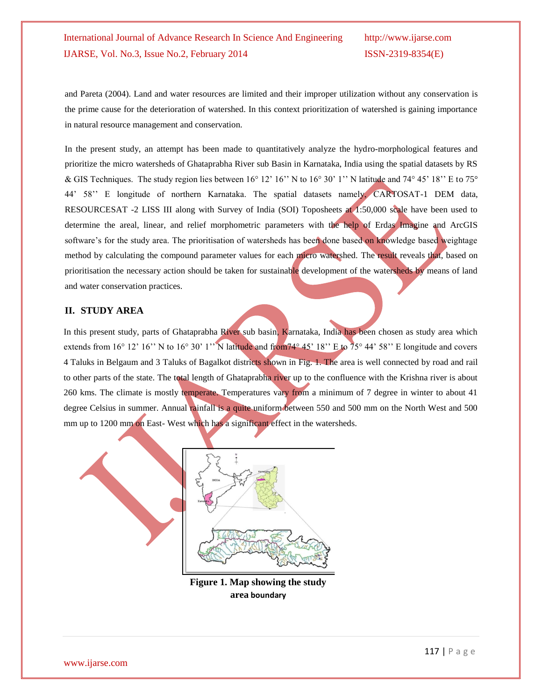and Pareta (2004). Land and water resources are limited and their improper utilization without any conservation is the prime cause for the deterioration of watershed. In this context prioritization of watershed is gaining importance in natural resource management and conservation.

In the present study, an attempt has been made to quantitatively analyze the hydro-morphological features and prioritize the micro watersheds of Ghataprabha River sub Basin in Karnataka, India using the spatial datasets by RS & GIS Techniques. The study region lies between  $16^{\circ} 12' 16''$  N to  $16^{\circ} 30' 1''$  N latitude and  $74^{\circ} 45' 18''$  E to  $75^{\circ}$ 44' 58'' E longitude of northern Karnataka. The spatial datasets namely, CARTOSAT-1 DEM data, RESOURCESAT -2 LISS III along with Survey of India (SOI) Toposheets at 1:50,000 scale have been used to determine the areal, linear, and relief morphometric parameters with the help of Erdas Imagine and ArcGIS software's for the study area. The prioritisation of watersheds has been done based on knowledge based weightage method by calculating the compound parameter values for each micro watershed. The result reveals that, based on prioritisation the necessary action should be taken for sustainable development of the watersheds by means of land and water conservation practices.

#### **II. STUDY AREA**

In this present study, parts of Ghataprabha River sub basin, Karnataka, India has been chosen as study area which extends from 16° 12' 16'' N to 16° 30' 1'' N latitude and from 74° 45' 18'' E to 75° 44' 58'' E longitude and covers 4 Taluks in Belgaum and 3 Taluks of Bagalkot districts shown in Fig. 1. The area is well connected by road and rail to other parts of the state. The total length of Ghataprabha river up to the confluence with the Krishna river is about 260 kms. The climate is mostly temperate. Temperatures vary from a minimum of 7 degree in winter to about 41 degree Celsius in summer. Annual rainfall is a quite uniform between 550 and 500 mm on the North West and 500 mm up to 1200 mm on East-West which has a significant effect in the watersheds.



**Figure 1. Map showing the study area boundary**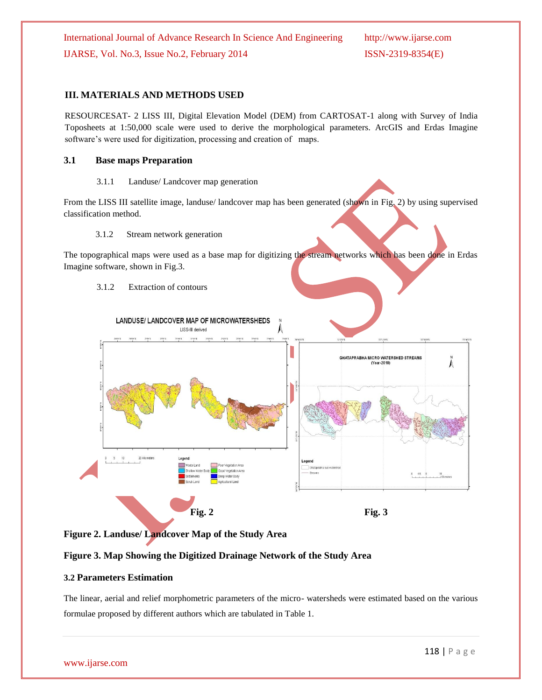#### **III. MATERIALS AND METHODS USED**

RESOURCESAT- 2 LISS III, Digital Elevation Model (DEM) from CARTOSAT-1 along with Survey of India Toposheets at 1:50,000 scale were used to derive the morphological parameters. ArcGIS and Erdas Imagine software's were used for digitization, processing and creation of maps.

#### **3.1 Base maps Preparation**

#### 3.1.1 Landuse/ Landcover map generation

From the LISS III satellite image, landuse/ landcover map has been generated (shown in Fig. 2) by using supervised classification method.

#### 3.1.2 Stream network generation

The topographical maps were used as a base map for digitizing the stream networks which has been done in Erdas Imagine software, shown in Fig.3.

#### 3.1.2 Extraction of contours



#### **Figure 2. Landuse/ Landcover Map of the Study Area**

#### **Figure 3. Map Showing the Digitized Drainage Network of the Study Area**

#### **3.2 Parameters Estimation**

The linear, aerial and relief morphometric parameters of the micro- watersheds were estimated based on the various formulae proposed by different authors which are tabulated in Table 1.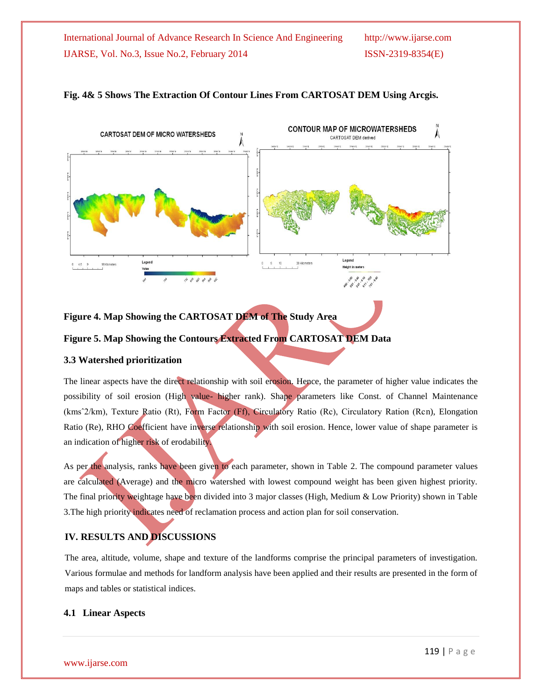

#### **Fig. 4& 5 Shows The Extraction Of Contour Lines From CARTOSAT DEM Using Arcgis.**

#### **Figure 4. Map Showing the CARTOSAT DEM of The Study Area**

#### **Figure 5. Map Showing the Contours Extracted From CARTOSAT DEM Data**

#### **3.3 Watershed prioritization**

The linear aspects have the direct relationship with soil erosion. Hence, the parameter of higher value indicates the possibility of soil erosion (High value- higher rank). Shape parameters like Const. of Channel Maintenance (kmsˆ2/km), Texture Ratio (Rt), Form Factor (Ff), Circulatory Ratio (Rc), Circulatory Ration (Rcn), Elongation Ratio (Re), RHO Coefficient have inverse relationship with soil erosion. Hence, lower value of shape parameter is an indication of higher risk of erodability.

As per the analysis, ranks have been given to each parameter, shown in Table 2. The compound parameter values are calculated (Average) and the micro watershed with lowest compound weight has been given highest priority. The final priority weightage have been divided into 3 major classes (High, Medium & Low Priority) shown in Table 3.The high priority indicates need of reclamation process and action plan for soil conservation.

### **IV. RESULTS AND DISCUSSIONS**

The area, altitude, volume, shape and texture of the landforms comprise the principal parameters of investigation. Various formulae and methods for landform analysis have been applied and their results are presented in the form of maps and tables or statistical indices.

#### **4.1 Linear Aspects**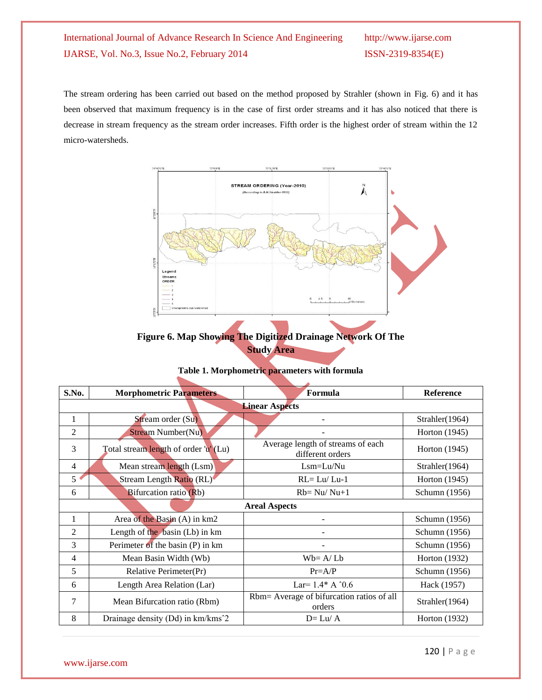The stream ordering has been carried out based on the method proposed by Strahler (shown in Fig. 6) and it has been observed that maximum frequency is in the case of first order streams and it has also noticed that there is decrease in stream frequency as the stream order increases. Fifth order is the highest order of stream within the 12 micro-watersheds.



### **Figure 6. Map Showing The Digitized Drainage Network Of The Study Area**

| S.No.                 | <b>Morphometric Parameters</b>        | Formula                                               | Reference      |  |  |  |  |  |  |  |
|-----------------------|---------------------------------------|-------------------------------------------------------|----------------|--|--|--|--|--|--|--|
| <b>Linear Aspects</b> |                                       |                                                       |                |  |  |  |  |  |  |  |
| 1                     | Stream order (Su)                     |                                                       | Strahler(1964) |  |  |  |  |  |  |  |
| $\overline{2}$        | <b>Stream Number(Nu)</b>              |                                                       | Horton (1945)  |  |  |  |  |  |  |  |
| 3                     | Total stream length of order 'u' (Lu) | Average length of streams of each<br>different orders | Horton (1945)  |  |  |  |  |  |  |  |
| $\overline{4}$        | Mean stream length (Lsm)              | $Lsm = Lu/Nu$                                         | Strahler(1964) |  |  |  |  |  |  |  |
| 5                     | Stream Length Ratio (RL)              | $RL = Lu/Lu-1$                                        | Horton (1945)  |  |  |  |  |  |  |  |
| 6                     | Bifurcation ratio (Rb)                | $Rb = Nu/Nu+1$                                        | Schumn (1956)  |  |  |  |  |  |  |  |
| <b>Areal Aspects</b>  |                                       |                                                       |                |  |  |  |  |  |  |  |
| 1                     | Area of the Basin (A) in km2          |                                                       | Schumn (1956)  |  |  |  |  |  |  |  |
| 2                     | Length of the basin $(Lb)$ in km      |                                                       | Schumn (1956)  |  |  |  |  |  |  |  |
| 3                     | Perimeter of the basin (P) in km      |                                                       | Schumn (1956)  |  |  |  |  |  |  |  |
| 4                     | Mean Basin Width (Wb)                 | $Wb = A/Lb$                                           | Horton (1932)  |  |  |  |  |  |  |  |
| 5                     | Relative Perimeter(Pr)                | $Pr=A/P$                                              | Schumn (1956)  |  |  |  |  |  |  |  |
| 6                     | Length Area Relation (Lar)            | Lar= $1.4*$ A $^{\circ}0.6$                           | Hack (1957)    |  |  |  |  |  |  |  |
| 7                     | Mean Bifurcation ratio (Rbm)          | Rbm= Average of bifurcation ratios of all<br>orders   | Strahler(1964) |  |  |  |  |  |  |  |
| 8                     | Drainage density (Dd) in km/kms^2     | $D=Lu/A$                                              | Horton (1932)  |  |  |  |  |  |  |  |

#### **Table 1. Morphometric parameters with formula**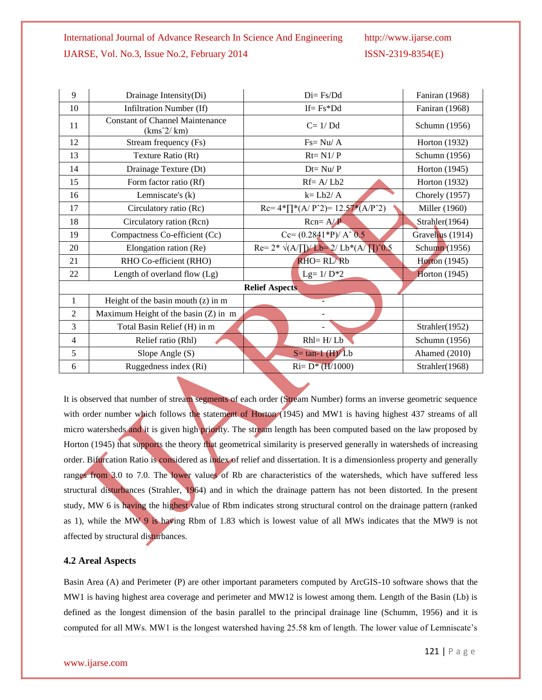| 9              | Drainage Intensity(Di)                                 | $Di = Fs/Dd$                                        | Faniran (1968)       |  |  |  |
|----------------|--------------------------------------------------------|-----------------------------------------------------|----------------------|--|--|--|
| 10             | Infiltration Number (If)                               | $If = Fs * Dd$                                      | Faniran (1968)       |  |  |  |
| 11             | <b>Constant of Channel Maintenance</b><br>$(kms^2/km)$ | $C=1/Dd$                                            | Schumn (1956)        |  |  |  |
| 12             | Stream frequency (Fs)                                  | $Fs = Nu/A$                                         | Horton (1932)        |  |  |  |
| 13             | Texture Ratio (Rt)                                     | $Rt = N1/P$                                         | Schumn (1956)        |  |  |  |
| 14             | Drainage Texture (Dt)                                  | $Dt = Nu / P$                                       | Horton (1945)        |  |  |  |
| 15             | Form factor ratio (Rf)                                 | $Rf = A/Lb2$                                        | Horton (1932)        |  |  |  |
| 16             | Lemniscate's $(k)$                                     | $k = Lb2/A$                                         | Chorely (1957)       |  |  |  |
| 17             | Circulatory ratio (Rc)                                 | $Rc=4*\prod^*(A/P^2)=12.57*(A/P^2)$                 | Miller (1960)        |  |  |  |
| 18             | Circulatory ration (Rcn)                               | $Rcn = A/P$                                         | Strahler(1964)       |  |  |  |
| 19             | Compactness Co-efficient (Cc)                          | $Cc = (0.2841*P)/A^0.5$                             | Gravelius (1914)     |  |  |  |
| 20             | Elongation ration (Re)                                 | $Re= 2^* \sqrt{(A/\prod)/L}b = 2/Lb^*(A/\prod)^0.5$ | Schumn (1956)        |  |  |  |
| 21             | RHO Co-efficient (RHO)                                 | $RHO = RL/Rb$                                       | <b>Horton</b> (1945) |  |  |  |
| 22             | Length of overland flow (Lg)                           | Lg= $1/D*2$                                         | <b>Horton</b> (1945) |  |  |  |
|                |                                                        | <b>Relief Aspects</b>                               |                      |  |  |  |
| 1              | Height of the basin mouth $(z)$ in m                   |                                                     |                      |  |  |  |
| $\overline{2}$ | Maximum Height of the basin (Z) in m                   |                                                     |                      |  |  |  |
| 3              | Total Basin Relief (H) in m                            |                                                     | Strahler(1952)       |  |  |  |
| $\overline{4}$ | Relief ratio (Rhl)                                     | $Rhl = H/Lb$                                        | Schumn (1956)        |  |  |  |
| 5              | Slope Angle (S)                                        | $S = \tan^{-1} (H)/Lb$                              | Ahamed (2010)        |  |  |  |
| 6              | Ruggedness index (Ri)                                  | $Ri = D^* (H/1000)$                                 | Strahler(1968)       |  |  |  |

It is observed that number of stream segments of each order (Stream Number) forms an inverse geometric sequence with order number which follows the statement of Horton (1945) and MW1 is having highest 437 streams of all micro watersheds and it is given high priority. The stream length has been computed based on the law proposed by Horton (1945) that supports the theory that geometrical similarity is preserved generally in watersheds of increasing order. Bifurcation Ratio is considered as index of relief and dissertation. It is a dimensionless property and generally ranges from 3.0 to 7.0. The lower values of Rb are characteristics of the watersheds, which have suffered less structural disturbances (Strahler, 1964) and in which the drainage pattern has not been distorted. In the present study, MW 6 is having the highest value of Rbm indicates strong structural control on the drainage pattern (ranked as 1), while the MW 9 is having Rbm of 1.83 which is lowest value of all MWs indicates that the MW9 is not affected by structural disturbances.

#### **4.2 Areal Aspects**

Basin Area (A) and Perimeter (P) are other important parameters computed by ArcGIS-10 software shows that the MW1 is having highest area coverage and perimeter and MW12 is lowest among them. Length of the Basin (Lb) is defined as the longest dimension of the basin parallel to the principal drainage line (Schumm, 1956) and it is computed for all MWs. MW1 is the longest watershed having 25.58 km of length. The lower value of Lemniscate's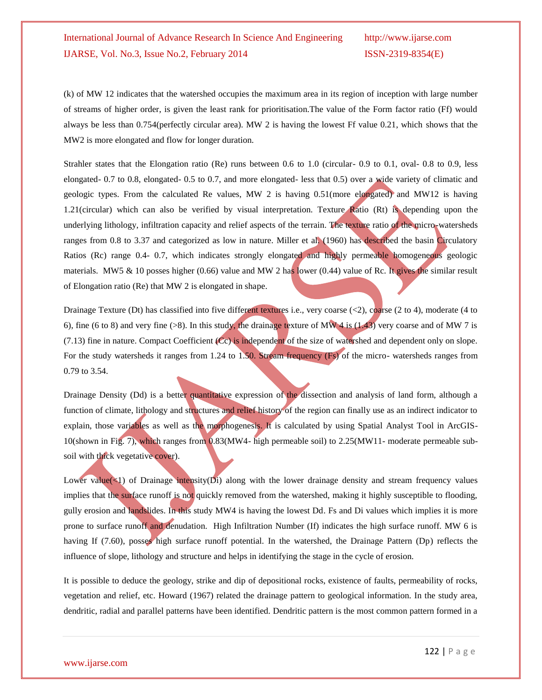(k) of MW 12 indicates that the watershed occupies the maximum area in its region of inception with large number of streams of higher order, is given the least rank for prioritisation.The value of the Form factor ratio (Ff) would always be less than 0.754(perfectly circular area). MW 2 is having the lowest Ff value 0.21, which shows that the MW2 is more elongated and flow for longer duration.

Strahler states that the Elongation ratio (Re) runs between 0.6 to 1.0 (circular- 0.9 to 0.1, oval- 0.8 to 0.9, less elongated- 0.7 to 0.8, elongated- 0.5 to 0.7, and more elongated- less that 0.5) over a wide variety of climatic and geologic types. From the calculated Re values, MW 2 is having 0.51(more elongated) and MW12 is having 1.21(circular) which can also be verified by visual interpretation. Texture Ratio (Rt) is depending upon the underlying lithology, infiltration capacity and relief aspects of the terrain. The texture ratio of the micro-watersheds ranges from 0.8 to 3.37 and categorized as low in nature. Miller et al. (1960) has described the basin Circulatory Ratios (Rc) range 0.4- 0.7, which indicates strongly elongated and highly permeable homogeneous geologic materials. MW5 & 10 posses higher (0.66) value and MW 2 has lower (0.44) value of Rc. It gives the similar result of Elongation ratio (Re) that MW 2 is elongated in shape.

Drainage Texture (Dt) has classified into five different textures i.e., very coarse  $( $2$ ), coarse (2 to 4), moderate (4 to$ 6), fine (6 to 8) and very fine (>8). In this study, the drainage texture of MW 4 is (1.43) very coarse and of MW 7 is (7.13) fine in nature. Compact Coefficient (Cc) is independent of the size of watershed and dependent only on slope. For the study watersheds it ranges from 1.24 to 1.50. Stream frequency (Fs) of the micro- watersheds ranges from 0.79 to 3.54.

Drainage Density (Dd) is a better quantitative expression of the dissection and analysis of land form, although a function of climate, lithology and structures and relief history of the region can finally use as an indirect indicator to explain, those variables as well as the morphogenesis. It is calculated by using Spatial Analyst Tool in ArcGIS-10(shown in Fig. 7), which ranges from 0.83(MW4- high permeable soil) to 2.25(MW11- moderate permeable subsoil with thick vegetative cover).

Lower value( $\leq 1$ ) of Drainage intensity(Di) along with the lower drainage density and stream frequency values implies that the surface runoff is not quickly removed from the watershed, making it highly susceptible to flooding, gully erosion and landslides. In this study MW4 is having the lowest Dd. Fs and Di values which implies it is more prone to surface runoff and denudation. High Infiltration Number (If) indicates the high surface runoff. MW 6 is having If (7.60), posses high surface runoff potential. In the watershed, the Drainage Pattern (Dp) reflects the influence of slope, lithology and structure and helps in identifying the stage in the cycle of erosion.

It is possible to deduce the geology, strike and dip of depositional rocks, existence of faults, permeability of rocks, vegetation and relief, etc. Howard (1967) related the drainage pattern to geological information. In the study area, dendritic, radial and parallel patterns have been identified. Dendritic pattern is the most common pattern formed in a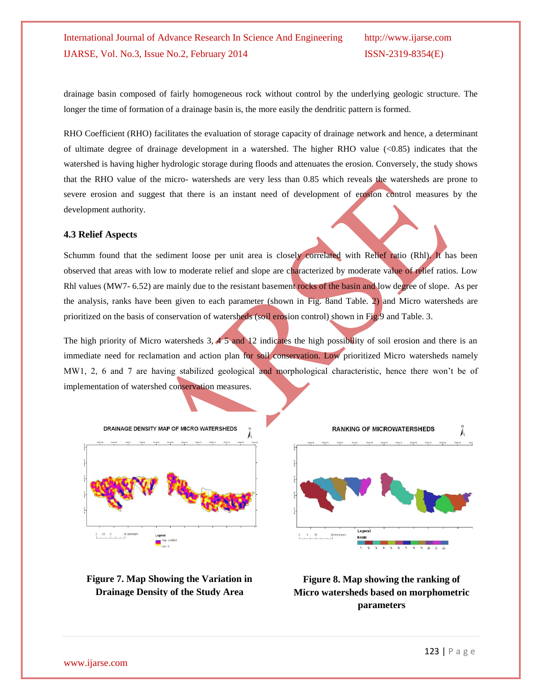drainage basin composed of fairly homogeneous rock without control by the underlying geologic structure. The longer the time of formation of a drainage basin is, the more easily the dendritic pattern is formed.

RHO Coefficient (RHO) facilitates the evaluation of storage capacity of drainage network and hence, a determinant of ultimate degree of drainage development in a watershed. The higher RHO value  $\langle$ <0.85) indicates that the watershed is having higher hydrologic storage during floods and attenuates the erosion. Conversely, the study shows that the RHO value of the micro- watersheds are very less than 0.85 which reveals the watersheds are prone to severe erosion and suggest that there is an instant need of development of erosion control measures by the development authority.

#### **4.3 Relief Aspects**

Schumm found that the sediment loose per unit area is closely correlated with Relief ratio (Rhl). It has been observed that areas with low to moderate relief and slope are characterized by moderate value of relief ratios. Low Rhl values (MW7- 6.52) are mainly due to the resistant basement rocks of the basin and low degree of slope. As per the analysis, ranks have been given to each parameter (shown in Fig. 8and Table. 2) and Micro watersheds are prioritized on the basis of conservation of watersheds (soil erosion control) shown in Fig.9 and Table. 3.

The high priority of Micro watersheds  $3, 4, 5$  and 12 indicates the high possibility of soil erosion and there is an immediate need for reclamation and action plan for soil conservation. Low prioritized Micro watersheds namely MW1, 2, 6 and 7 are having stabilized geological and morphological characteristic, hence there won't be of implementation of watershed conservation measures.



**Figure 7. Map Showing the Variation in Drainage Density of the Study Area**



**Figure 8. Map showing the ranking of Micro watersheds based on morphometric parameters**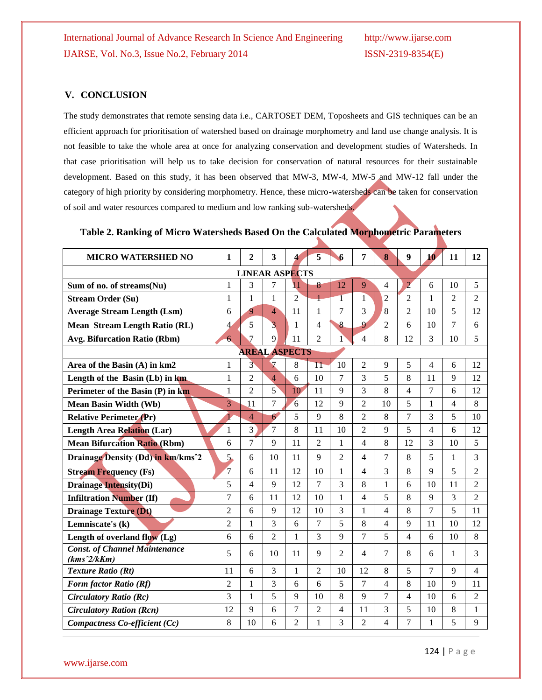#### **V. CONCLUSION**

The study demonstrates that remote sensing data i.e., CARTOSET DEM, Toposheets and GIS techniques can be an efficient approach for prioritisation of watershed based on drainage morphometry and land use change analysis. It is not feasible to take the whole area at once for analyzing conservation and development studies of Watersheds. In that case prioritisation will help us to take decision for conservation of natural resources for their sustainable development. Based on this study, it has been observed that MW-3, MW-4, MW-5 and MW-12 fall under the category of high priority by considering morphometry. Hence, these micro-watersheds can be taken for conservation of soil and water resources compared to medium and low ranking sub-watersheds.

**Table 2. Ranking of Micro Watersheds Based On the Calculated Morphometric Parameters**

| <b>MICRO WATERSHED NO</b>                             | 1              | $\mathbf{2}$   | 3              | 4               | 5               | 6              | 7                        | 8              | $\boldsymbol{9}$ | 10                       | 11             | 12             |
|-------------------------------------------------------|----------------|----------------|----------------|-----------------|-----------------|----------------|--------------------------|----------------|------------------|--------------------------|----------------|----------------|
| <b>LINEAR ASPECTS</b>                                 |                |                |                |                 |                 |                |                          |                |                  |                          |                |                |
| Sum of no. of streams(Nu)                             | $\mathbf{1}$   | 3              | 7              | $\overline{11}$ | 8               | 12             | 9                        | 4              | $\overline{2}$   | 6                        | 10             | 5              |
| <b>Stream Order (Su)</b>                              | $\mathbf{1}$   | $\mathbf{1}$   | $\mathbf{1}$   | $\overline{2}$  | $\mathbf{1}$    | $\overline{1}$ | $\mathbf{1}$             | $\overline{2}$ | $\overline{2}$   | $\mathbf{1}$             | $\overline{2}$ | $\overline{2}$ |
| <b>Average Stream Length (Lsm)</b>                    | 6              | 9              | $\overline{4}$ | 11              | 1               | 7              | 3                        | 8              | $\overline{2}$   | 10                       | 5              | 12             |
| <b>Mean Stream Length Ratio (RL)</b>                  | 4              | 5              | $\overline{3}$ | 1               | $\overline{4}$  | 8              | 9                        | $\overline{2}$ | 6                | 10                       | 7              | 6              |
| <b>Avg. Bifurcation Ratio (Rbm)</b>                   | $\overline{6}$ | $\overline{7}$ | 9              | 11              | $\overline{2}$  | 1              | $\overline{4}$           | 8              | 12               | 3                        | 10             | 5              |
| <b>AREAL ASPECTS</b>                                  |                |                |                |                 |                 |                |                          |                |                  |                          |                |                |
| Area of the Basin (A) in km2                          | 1              | $\overline{3}$ | $\overline{7}$ | 8               | $\overline{11}$ | 10             | $\overline{c}$           | 9              | 5                | $\overline{4}$           | 6              | 12             |
| Length of the Basin (Lb) in km                        | $\mathbf{1}$   | $\overline{2}$ | $\overline{4}$ | 6               | 10              | 7              | 3                        | 5              | 8                | 11                       | 9              | 12             |
| Perimeter of the Basin (P) in km                      | 1              | $\overline{2}$ | $\overline{5}$ | 10              | 11              | 9              | 3                        | 8              | 4                | 7                        | 6              | 12             |
| <b>Mean Basin Width (Wb)</b>                          | $\overline{3}$ | 11             | $\overline{7}$ | 6               | 12              | 9              | $\overline{2}$           | 10             | 5                | 1                        | 4              | 8              |
| <b>Relative Perimeter (Pr)</b>                        |                | $\overline{4}$ | 6              | 5               | 9               | 8              | $\overline{2}$           | 8              | 7                | 3                        | 5              | 10             |
| <b>Length Area Relation (Lar)</b>                     | $\mathbf{1}$   | 3              | $\overline{7}$ | 8               | 11              | 10             | $\overline{2}$           | $\mathbf{Q}$   | 5                | $\overline{\mathcal{L}}$ | 6              | 12             |
| <b>Mean Bifurcation Ratio (Rbm)</b>                   | 6              | $\overline{7}$ | 9              | 11              | $\overline{2}$  | 1              | 4                        | 8              | 12               | 3                        | 10             | 5              |
| Drainage Density (Dd) in km/kms <sup>2</sup>          | 5.             | 6              | 10             | 11              | 9               | $\overline{2}$ | 4                        | 7              | 8                | 5                        | 1              | 3              |
| <b>Stream Frequency (Fs)</b>                          | $\overline{7}$ | 6              | 11             | 12              | 10              | 1              | 4                        | 3              | 8                | 9                        | 5              | $\overline{2}$ |
| <b>Drainage Intensity(Di)</b>                         | 5              | $\overline{4}$ | 9              | 12              | $\overline{7}$  | 3              | 8                        | 1              | 6                | 10                       | 11             | $\overline{2}$ |
| <b>Infiltration Number (If)</b>                       | 7              | 6              | 11             | 12              | 10              | 1              | $\overline{\mathcal{L}}$ | 5              | 8                | 9                        | 3              | $\overline{2}$ |
| <b>Drainage Texture (Dt)</b>                          | $\overline{2}$ | 6              | 9              | 12              | 10              | 3              | $\mathbf{1}$             | 4              | 8                | $\overline{7}$           | 5              | 11             |
| Lemniscate's (k)                                      | $\overline{2}$ | 1              | 3              | 6               | 7               | 5              | 8                        | 4              | 9                | 11                       | 10             | 12             |
| Length of overland flow (Lg)                          | 6              | 6              | $\overline{2}$ | 1               | 3               | 9              | 7                        | 5              | 4                | 6                        | 10             | 8              |
| <b>Const. of Channel Maintenance</b><br>$(kms^2/kKm)$ | 5              | 6              | 10             | 11              | 9               | $\mathfrak{D}$ | 4                        | 7              | 8                | 6                        | 1              | 3              |
| <b>Texture Ratio (Rt)</b>                             | 11             | 6              | 3              | 1               | $\overline{2}$  | 10             | 12                       | 8              | 5                | $\tau$                   | 9              | 4              |
| Form factor Ratio (Rf)                                | 2              | $\mathbf{1}$   | 3              | 6               | 6               | 5              | 7                        | 4              | 8                | 10                       | 9              | 11             |
| <b>Circulatory Ratio (Rc)</b>                         | 3              | $\mathbf{1}$   | 5              | 9               | 10              | 8              | 9                        | 7              | 4                | 10                       | 6              | $\overline{2}$ |
| <b>Circulatory Ration (Rcn)</b>                       | 12             | 9              | 6              | 7               | $\overline{2}$  | $\overline{4}$ | 11                       | 3              | 5                | 10                       | 8              | 1              |
| Compactness Co-efficient (Cc)                         | 8              | 10             | 6              | $\overline{2}$  | 1               | 3              | $\overline{2}$           | 4              | 7                | 1                        | 5              | 9              |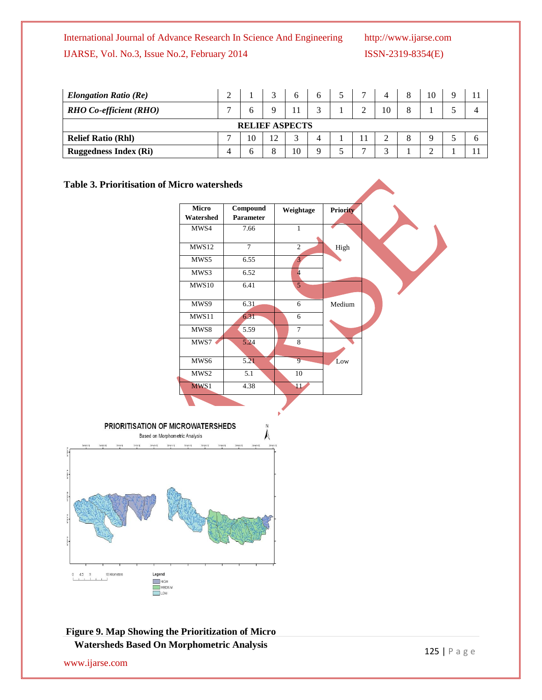| <b>Elongation Ratio (Re)</b>  |  |  |  |    |  |  |  |    |  | 10 |  |
|-------------------------------|--|--|--|----|--|--|--|----|--|----|--|
| <b>RHO</b> Co-efficient (RHO) |  |  |  |    |  |  |  | 10 |  |    |  |
| <b>RELIEF ASPECTS</b>         |  |  |  |    |  |  |  |    |  |    |  |
| <b>Relief Ratio (Rhl)</b>     |  |  |  |    |  |  |  |    |  |    |  |
| <b>Ruggedness Index (Ri)</b>  |  |  |  | 10 |  |  |  |    |  |    |  |

#### **Table 3. Prioritisation of Micro watersheds**





**Figure 9. Map Showing the Prioritization of Micro Watersheds Based On Morphometric Analysis**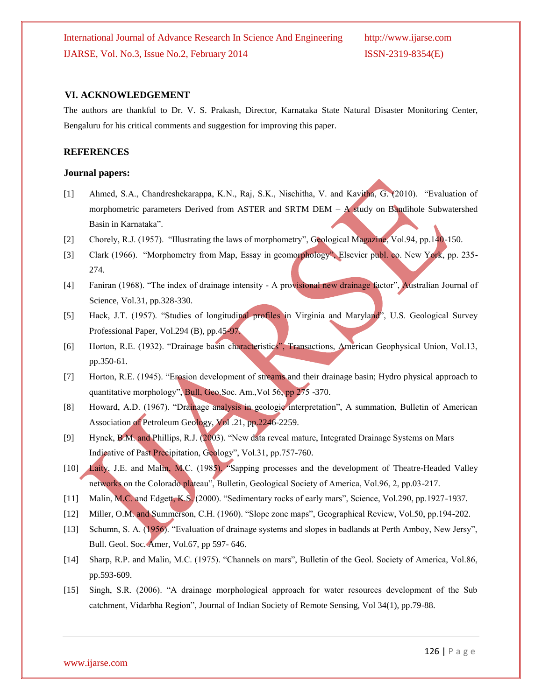#### **VI. ACKNOWLEDGEMENT**

The authors are thankful to Dr. V. S. Prakash, Director, Karnataka State Natural Disaster Monitoring Center, Bengaluru for his critical comments and suggestion for improving this paper.

#### **REFERENCES**

#### **Journal papers:**

- [1] Ahmed, S.A., Chandreshekarappa, K.N., Raj, S.K., Nischitha, V. and Kavitha, G. (2010). "Evaluation of morphometric parameters Derived from ASTER and SRTM DEM –  $\vec{A}$  study on Bandihole Subwatershed Basin in Karnataka".
- [2] Chorely, R.J. (1957). "Illustrating the laws of morphometry", Geological Magazine, Vol.94, pp.140-150.
- [3] Clark (1966). "Morphometry from Map, Essay in geomorphology", Elsevier publ. co. New York, pp. 235- 274.
- [4] Faniran (1968). "The index of drainage intensity A provisional new drainage factor", Australian Journal of Science, Vol.31, pp.328-330.
- [5] Hack, J.T. (1957). "Studies of longitudinal profiles in Virginia and Maryland", U.S. Geological Survey Professional Paper, Vol.294 (B), pp.45-97.
- [6] Horton, R.E. (1932). "Drainage basin characteristics", Transactions, American Geophysical Union, Vol.13, pp.350-61.
- [7] Horton, R.E. (1945). "Erosion development of streams and their drainage basin; Hydro physical approach to quantitative morphology", Bull, Geo.Soc. Am.,Vol 56, pp 275 -370.
- [8] Howard, A.D. (1967). "Drainage analysis in geologic interpretation", A summation, Bulletin of American Association of Petroleum Geology, Vol .21, pp.2246-2259.
- [9] Hynek, B.M. and Phillips, R.J. (2003). "New data reveal mature, Integrated Drainage Systems on Mars Indicative of Past Precipitation, Geology", Vol.31, pp.757-760.
- [10] Laity, J.E. and Malin, M.C. (1985). "Sapping processes and the development of Theatre-Headed Valley networks on the Colorado plateau", Bulletin, Geological Society of America, Vol.96, 2, pp.03-217.
- [11] Malin, M.C. and Edgett, K.S. (2000). "Sedimentary rocks of early mars", Science, Vol.290, pp.1927-1937.
- [12] Miller, O.M. and Summerson, C.H. (1960). "Slope zone maps", Geographical Review, Vol.50, pp.194-202.
- [13] Schumn, S. A. (1956). "Evaluation of drainage systems and slopes in badlands at Perth Amboy, New Jersy", Bull. Geol. Soc. Amer, Vol.67, pp 597- 646.
- [14] Sharp, R.P. and Malin, M.C. (1975). "Channels on mars", Bulletin of the Geol. Society of America, Vol.86, pp.593-609.
- [15] Singh, S.R. (2006). "A drainage morphological approach for water resources development of the Sub catchment, Vidarbha Region", Journal of Indian Society of Remote Sensing, Vol 34(1), pp.79-88.